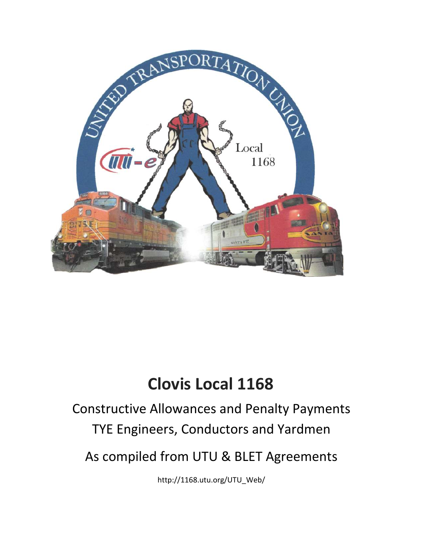

# **Clovis Local 1168**

# Constructive Allowances and Penalty Payments TYE Engineers, Conductors and Yardmen

As compiled from UTU & BLET Agreements

http://1168.utu.org/UTU\_Web/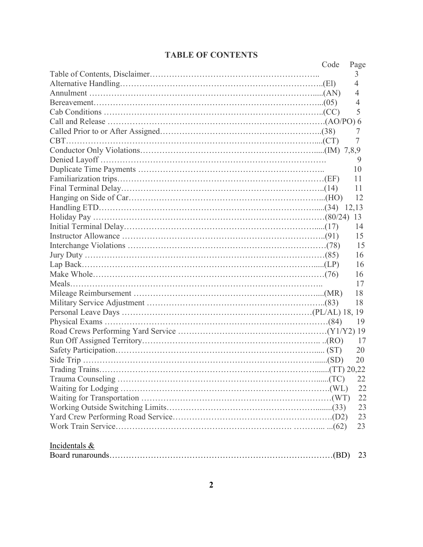#### **TABLE OF CONTENTS**

|                 | Code | Page                |
|-----------------|------|---------------------|
|                 |      | 3                   |
|                 |      | 4                   |
|                 |      | 4                   |
|                 |      | 4                   |
|                 |      | 5                   |
|                 |      |                     |
|                 |      | 7                   |
|                 |      | 7                   |
|                 |      |                     |
|                 |      | 9                   |
|                 |      | 10                  |
|                 |      | 11                  |
|                 |      | 11                  |
|                 |      | 12                  |
|                 |      |                     |
|                 |      |                     |
|                 |      | 14                  |
|                 |      | 15                  |
|                 |      | 15                  |
|                 |      | 16                  |
|                 |      | 16                  |
|                 |      | 16                  |
|                 |      | 17                  |
|                 |      | 18                  |
|                 |      | 18                  |
|                 |      |                     |
|                 |      | 19                  |
|                 |      |                     |
|                 |      | 17                  |
|                 |      | 20                  |
|                 |      | 20                  |
| Trading Trains. |      | $\ldots$ (TT) 20,22 |
|                 |      | 22                  |
|                 |      | 22                  |
|                 |      | 22                  |
|                 |      | 23                  |
|                 |      | 23                  |
|                 |      | 23                  |
|                 |      |                     |
| Incidentals &   |      |                     |
|                 |      | 23                  |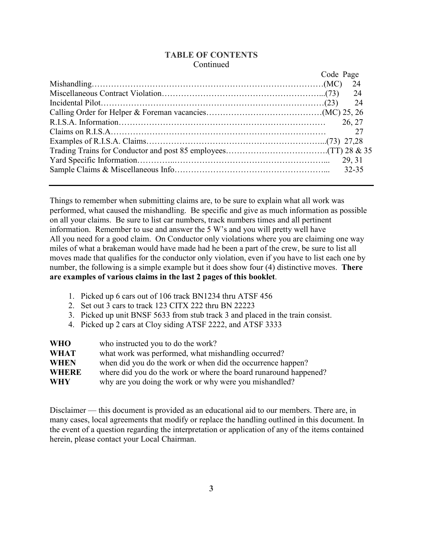#### **TABLE OF CONTENTS** Continued

| Code Page |
|-----------|
| 24        |
| 24        |
| - 24      |
|           |
| 26, 27    |
| 27        |
|           |
|           |
|           |
| 32-35     |
|           |

Things to remember when submitting claims are, to be sure to explain what all work was performed, what caused the mishandling. Be specific and give as much information as possible on all your claims. Be sure to list car numbers, track numbers times and all pertinent information. Remember to use and answer the 5 W's and you will pretty well have All you need for a good claim. On Conductor only violations where you are claiming one way miles of what a brakeman would have made had he been a part of the crew, be sure to list all moves made that qualifies for the conductor only violation, even if you have to list each one by number, the following is a simple example but it does show four (4) distinctive moves. **There are examples of various claims in the last 2 pages of this booklet**.

- 1. Picked up 6 cars out of 106 track BN1234 thru ATSF 456
- 2. Set out 3 cars to track 123 CITX 222 thru BN 22223
- 3. Picked up unit BNSF 5633 from stub track 3 and placed in the train consist.
- 4. Picked up 2 cars at Cloy siding ATSF 2222, and ATSF 3333

| <b>WHO</b>   | who instructed you to do the work?                               |
|--------------|------------------------------------------------------------------|
| <b>WHAT</b>  | what work was performed, what mishandling occurred?              |
| <b>WHEN</b>  | when did you do the work or when did the occurrence happen?      |
| <b>WHERE</b> | where did you do the work or where the board runaround happened? |
| <b>WHY</b>   | why are you doing the work or why were you mishandled?           |

Disclaimer — this document is provided as an educational aid to our members. There are, in many cases, local agreements that modify or replace the handling outlined in this document. In the event of a question regarding the interpretation or application of any of the items contained herein, please contact your Local Chairman.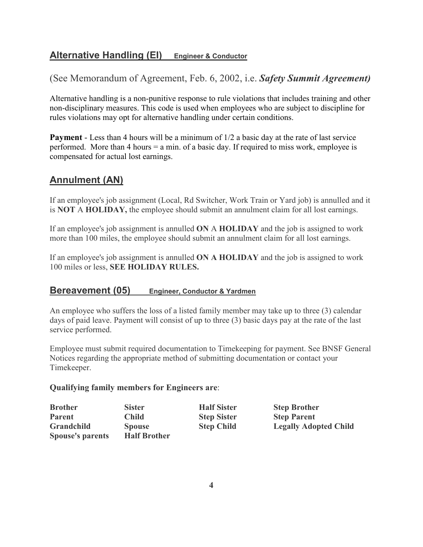# **Alternative Handling (EI) Engineer & Conductor**

(See Memorandum of Agreement, Feb. 6, 2002, i.e. *Safety Summit Agreement)* 

Alternative handling is a non-punitive response to rule violations that includes training and other non-disciplinary measures. This code is used when employees who are subject to discipline for rules violations may opt for alternative handling under certain conditions.

**Payment** - Less than 4 hours will be a minimum of  $1/2$  a basic day at the rate of last service performed. More than 4 hours = a min. of a basic day. If required to miss work, employee is compensated for actual lost earnings.

# **Annulment (AN)**

If an employee's job assignment (Local, Rd Switcher, Work Train or Yard job) is annulled and it is  **OT** A **HOLIDAY,** the employee should submit an annulment claim for all lost earnings.

If an employee's job assignment is annulled **ON** A **HOLIDAY** and the job is assigned to work more than 100 miles, the employee should submit an annulment claim for all lost earnings.

If an employee's job assignment is annulled **ON A HOLIDAY** and the job is assigned to work 100 miles or less, **SEE HOLIDAY RULES.**

## **Bereavement (05) Engineer, Conductor & Yardmen**

An employee who suffers the loss of a listed family member may take up to three (3) calendar days of paid leave. Payment will consist of up to three (3) basic days pay at the rate of the last service performed.

Employee must submit required documentation to Timekeeping for payment. See BNSF General Notices regarding the appropriate method of submitting documentation or contact your Timekeeper.

#### **Qualifying family members for Engineers are**:

| <b>Brother</b>          | <b>Sister</b>       | <b>Half Sister</b> | <b>Step Brother</b>          |
|-------------------------|---------------------|--------------------|------------------------------|
| <b>Parent</b>           | <b>Child</b>        | <b>Step Sister</b> | <b>Step Parent</b>           |
| Grandchild              | <b>Spouse</b>       | <b>Step Child</b>  | <b>Legally Adopted Child</b> |
| <b>Spouse's parents</b> | <b>Half Brother</b> |                    |                              |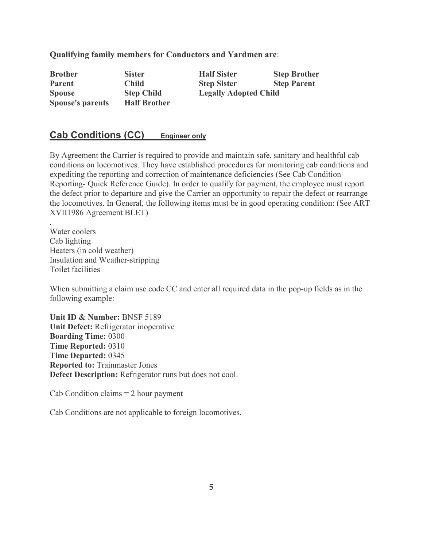**Qualifying family members for Conductors and Yardmen are**:

| <b>Brother</b>          | <b>Sister</b>       | <b>Half Sister</b>           | <b>Step Brother</b> |
|-------------------------|---------------------|------------------------------|---------------------|
| <b>Parent</b>           | <b>Child</b>        | <b>Step Sister</b>           | <b>Step Parent</b>  |
| <b>Spouse</b>           | <b>Step Child</b>   | <b>Legally Adopted Child</b> |                     |
| <b>Spouse's parents</b> | <b>Half Brother</b> |                              |                     |

## **Cab Conditions (CC) Engineer only**

By Agreement the Carrier is required to provide and maintain safe, sanitary and healthful cab conditions on locomotives. They have established procedures for monitoring cab conditions and expediting the reporting and correction of maintenance deficiencies (See Cab Condition Reporting- Quick Reference Guide). In order to qualify for payment, the employee must report the defect prior to departure and give the Carrier an opportunity to repair the defect or rearrange the locomotives. In General, the following items must be in good operating condition: (See ART XVII1986 Agreement BLET)

. Water coolers Cab lighting Heaters (in cold weather) Insulation and Weather-stripping Toilet facilities

When submitting a claim use code CC and enter all required data in the pop-up fields as in the following example:

**Unit ID & umber:** BNSF 5189 **Unit Defect:** Refrigerator inoperative **Boarding Time:** 0300 **Time Reported:** 0310 **Time Departed:** 0345 **Reported to: Trainmaster Jones Defect Description:** Refrigerator runs but does not cool.

 $Cab$  Condition claims  $= 2$  hour payment

Cab Conditions are not applicable to foreign locomotives.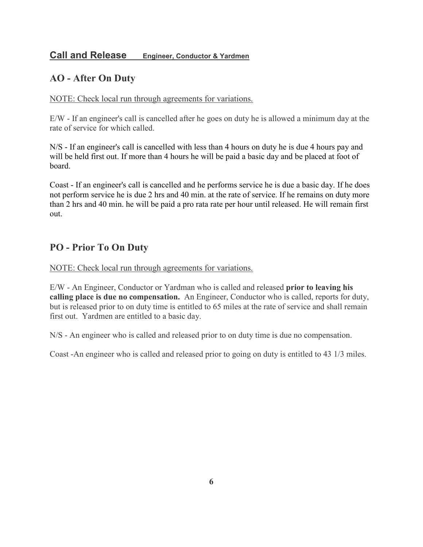## **Call and Release Engineer, Conductor & Yardmen**

# **AO - After On Duty**

#### NOTE: Check local run through agreements for variations.

E/W - If an engineer's call is cancelled after he goes on duty he is allowed a minimum day at the rate of service for which called.

N/S - If an engineer's call is cancelled with less than 4 hours on duty he is due 4 hours pay and will be held first out. If more than 4 hours he will be paid a basic day and be placed at foot of board.

Coast - If an engineer's call is cancelled and he performs service he is due a basic day. If he does not perform service he is due 2 hrs and 40 min. at the rate of service. If he remains on duty more than 2 hrs and 40 min. he will be paid a pro rata rate per hour until released. He will remain first out.

# **PO - Prior To On Duty**

NOTE: Check local run through agreements for variations.

E/W - An Engineer, Conductor or Yardman who is called and released **prior to leaving his calling place is due no compensation.** An Engineer, Conductor who is called, reports for duty, but is released prior to on duty time is entitled to 65 miles at the rate of service and shall remain first out. Yardmen are entitled to a basic day.

N/S - An engineer who is called and released prior to on duty time is due no compensation.

Coast -An engineer who is called and released prior to going on duty is entitled to 43 1/3 miles.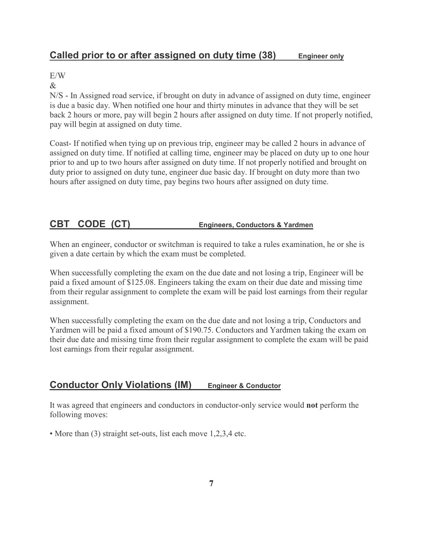# **Called prior to or after assigned on duty time (38) Engineer only**

E/W

&

N/S - In Assigned road service, if brought on duty in advance of assigned on duty time, engineer is due a basic day. When notified one hour and thirty minutes in advance that they will be set back 2 hours or more, pay will begin 2 hours after assigned on duty time. If not properly notified, pay will begin at assigned on duty time.

Coast- If notified when tying up on previous trip, engineer may be called 2 hours in advance of assigned on duty time. If notified at calling time, engineer may be placed on duty up to one hour prior to and up to two hours after assigned on duty time. If not properly notified and brought on duty prior to assigned on duty tune, engineer due basic day. If brought on duty more than two hours after assigned on duty time, pay begins two hours after assigned on duty time.

# **CBT CODE (CT) Engineers, Conductors & Yardmen**

When an engineer, conductor or switchman is required to take a rules examination, he or she is given a date certain by which the exam must be completed.

When successfully completing the exam on the due date and not losing a trip, Engineer will be paid a fixed amount of \$125.08. Engineers taking the exam on their due date and missing time from their regular assignment to complete the exam will be paid lost earnings from their regular assignment.

When successfully completing the exam on the due date and not losing a trip, Conductors and Yardmen will be paid a fixed amount of \$190.75. Conductors and Yardmen taking the exam on their due date and missing time from their regular assignment to complete the exam will be paid lost earnings from their regular assignment.

# **Conductor Only Violations (IM) Engineer & Conductor**

It was agreed that engineers and conductors in conductor-only service would **not** perform the following moves:

• More than (3) straight set-outs, list each move 1,2,3,4 etc.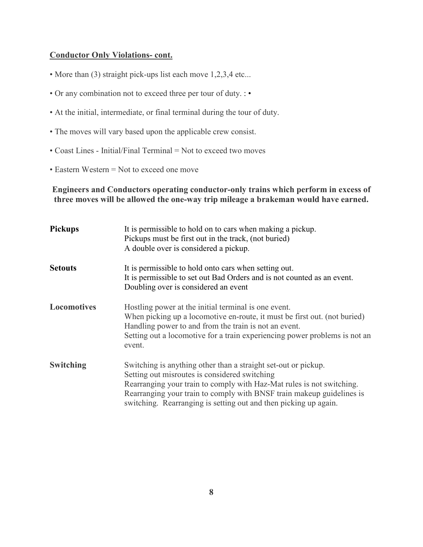#### **Conductor Only Violations- cont.**

- More than (3) straight pick-ups list each move 1,2,3,4 etc...
- Or any combination not to exceed three per tour of duty. : •
- At the initial, intermediate, or final terminal during the tour of duty.
- The moves will vary based upon the applicable crew consist.
- Coast Lines Initial/Final Terminal = Not to exceed two moves
- Eastern Western = Not to exceed one move

**Engineers and Conductors operating conductor-only trains which perform in excess of three moves will be allowed the one-way trip mileage a brakeman would have earned.**

| <b>Pickups</b> | It is permissible to hold on to cars when making a pickup.<br>Pickups must be first out in the track, (not buried)<br>A double over is considered a pickup.                                                                                                                                                                           |
|----------------|---------------------------------------------------------------------------------------------------------------------------------------------------------------------------------------------------------------------------------------------------------------------------------------------------------------------------------------|
| <b>Setouts</b> | It is permissible to hold onto cars when setting out.<br>It is permissible to set out Bad Orders and is not counted as an event.<br>Doubling over is considered an event                                                                                                                                                              |
| Locomotives    | Hostling power at the initial terminal is one event.<br>When picking up a locomotive en-route, it must be first out. (not buried)<br>Handling power to and from the train is not an event.<br>Setting out a locomotive for a train experiencing power problems is not an<br>event.                                                    |
| Switching      | Switching is anything other than a straight set-out or pickup.<br>Setting out misroutes is considered switching<br>Rearranging your train to comply with Haz-Mat rules is not switching.<br>Rearranging your train to comply with BNSF train makeup guidelines is<br>switching. Rearranging is setting out and then picking up again. |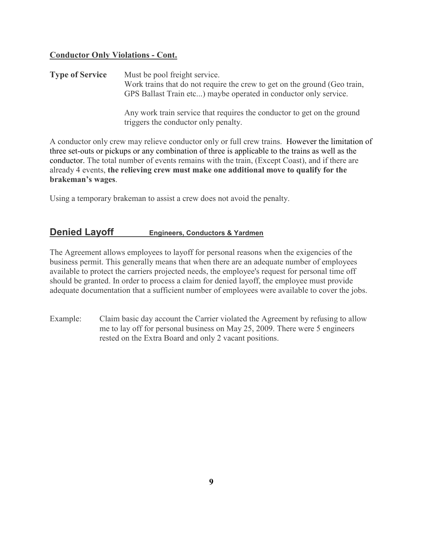### **Conductor Only Violations - Cont.**

**Type of Service** Must be pool freight service. Work trains that do not require the crew to get on the ground (Geo train, GPS Ballast Train etc...) maybe operated in conductor only service.

> Any work train service that requires the conductor to get on the ground triggers the conductor only penalty.

A conductor only crew may relieve conductor only or full crew trains. However the limitation of three set-outs or pickups or any combination of three is applicable to the trains as well as the conductor. The total number of events remains with the train, (Except Coast), and if there are already 4 events, **the relieving crew must make one additional move to qualify for the brakeman's wages**.

Using a temporary brakeman to assist a crew does not avoid the penalty.

## **Denied Layoff Engineers, Conductors & Yardmen**

The Agreement allows employees to layoff for personal reasons when the exigencies of the business permit. This generally means that when there are an adequate number of employees available to protect the carriers projected needs, the employee's request for personal time off should be granted. In order to process a claim for denied layoff, the employee must provide adequate documentation that a sufficient number of employees were available to cover the jobs.

Example: Claim basic day account the Carrier violated the Agreement by refusing to allow me to lay off for personal business on May 25, 2009. There were 5 engineers rested on the Extra Board and only 2 vacant positions.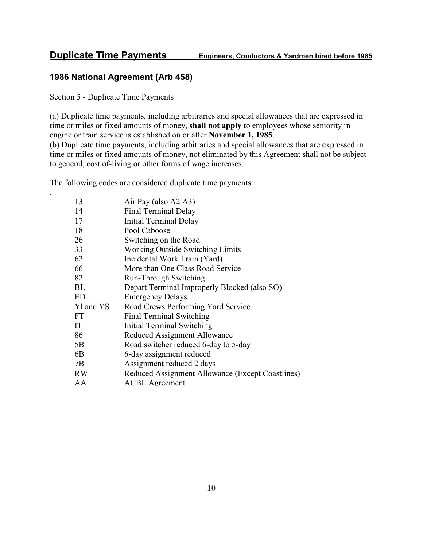## **1986 National Agreement (Arb 458)**

Section 5 - Duplicate Time Payments

.

(a) Duplicate time payments, including arbitraries and special allowances that are expressed in time or miles or fixed amounts of money, **shall not apply** to employees whose seniority in engine or train service is established on or after  **ovember 1, 1985**. (b) Duplicate time payments, including arbitraries and special allowances that are expressed in time or miles or fixed amounts of money, not eliminated by this Agreement shall not be subject to general, cost of-living or other forms of wage increases.

The following codes are considered duplicate time payments:

| 13        | Air Pay (also A2 A3)                             |
|-----------|--------------------------------------------------|
| 14        | Final Terminal Delay                             |
| 17        | Initial Terminal Delay                           |
| 18        | Pool Caboose                                     |
| 26        | Switching on the Road                            |
| 33        | Working Outside Switching Limits                 |
| 62        | Incidental Work Train (Yard)                     |
| 66        | More than One Class Road Service                 |
| 82        | <b>Run-Through Switching</b>                     |
| BL        | Depart Terminal Improperly Blocked (also SO)     |
| <b>ED</b> | <b>Emergency Delays</b>                          |
| Yl and YS | Road Crews Performing Yard Service               |
| <b>FT</b> | Final Terminal Switching                         |
| IT        | Initial Terminal Switching                       |
| 86        | Reduced Assignment Allowance                     |
| 5B        | Road switcher reduced 6-day to 5-day             |
| 6B        | 6-day assignment reduced                         |
| 7B        | Assignment reduced 2 days                        |
| <b>RW</b> | Reduced Assignment Allowance (Except Coastlines) |
| AA        | <b>ACBL</b> Agreement                            |
|           |                                                  |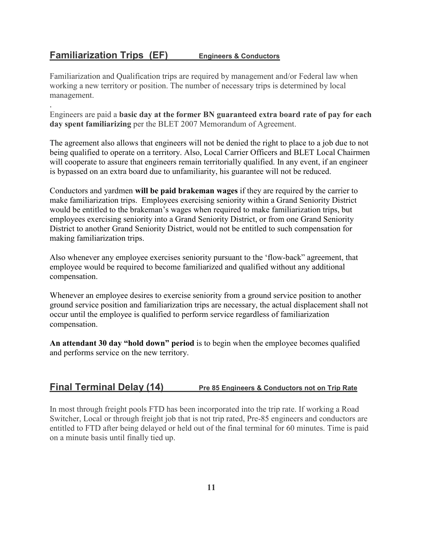## **Familiarization Trips (EF) Engineers & Conductors**

.

Familiarization and Qualification trips are required by management and/or Federal law when working a new territory or position. The number of necessary trips is determined by local management.

Engineers are paid a **basic day at the former B guaranteed extra board rate of pay for each day spent familiarizing** per the BLET 2007 Memorandum of Agreement.

The agreement also allows that engineers will not be denied the right to place to a job due to not being qualified to operate on a territory. Also, Local Carrier Officers and BLET Local Chairmen will cooperate to assure that engineers remain territorially qualified. In any event, if an engineer is bypassed on an extra board due to unfamiliarity, his guarantee will not be reduced.

Conductors and yardmen **will be paid brakeman wages** if they are required by the carrier to make familiarization trips. Employees exercising seniority within a Grand Seniority District would be entitled to the brakeman's wages when required to make familiarization trips, but employees exercising seniority into a Grand Seniority District, or from one Grand Seniority District to another Grand Seniority District, would not be entitled to such compensation for making familiarization trips.

Also whenever any employee exercises seniority pursuant to the 'flow-back" agreement, that employee would be required to become familiarized and qualified without any additional compensation.

Whenever an employee desires to exercise seniority from a ground service position to another ground service position and familiarization trips are necessary, the actual displacement shall not occur until the employee is qualified to perform service regardless of familiarization compensation.

**An attendant 30 day "hold down" period** is to begin when the employee becomes qualified and performs service on the new territory.

## **Final Terminal Delay (14) Pre 85 Engineers & Conductors not on Trip Rate**

In most through freight pools FTD has been incorporated into the trip rate. If working a Road Switcher, Local or through freight job that is not trip rated, Pre-85 engineers and conductors are entitled to FTD after being delayed or held out of the final terminal for 60 minutes. Time is paid on a minute basis until finally tied up.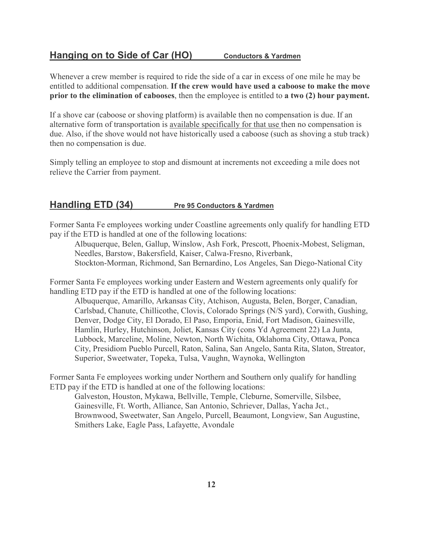## **Hanging on to Side of Car (HO)** Conductors & Yardmen

Whenever a crew member is required to ride the side of a car in excess of one mile he may be entitled to additional compensation. **If the crew would have used a caboose to make the move prior to the elimination of cabooses**, then the employee is entitled to **a two (2) hour payment.**

If a shove car (caboose or shoving platform) is available then no compensation is due. If an alternative form of transportation is available specifically for that use then no compensation is due. Also, if the shove would not have historically used a caboose (such as shoving a stub track) then no compensation is due.

Simply telling an employee to stop and dismount at increments not exceeding a mile does not relieve the Carrier from payment.

## **Handling ETD (34)** Pre 95 Conductors & Yardmen

Former Santa Fe employees working under Coastline agreements only qualify for handling ETD pay if the ETD is handled at one of the following locations:

Albuquerque, Belen, Gallup, Winslow, Ash Fork, Prescott, Phoenix-Mobest, Seligman, Needles, Barstow, Bakersfield, Kaiser, Calwa-Fresno, Riverbank, Stockton-Morman, Richmond, San Bernardino, Los Angeles, San Diego-National City

Former Santa Fe employees working under Eastern and Western agreements only qualify for handling ETD pay if the ETD is handled at one of the following locations:

Albuquerque, Amarillo, Arkansas City, Atchison, Augusta, Belen, Borger, Canadian, Carlsbad, Chanute, Chillicothe, Clovis, Colorado Springs (N/S yard), Corwith, Gushing, Denver, Dodge City, El Dorado, El Paso, Emporia, Enid, Fort Madison, Gainesville, Hamlin, Hurley, Hutchinson, Joliet, Kansas City (cons Yd Agreement 22) La Junta, Lubbock, Marceline, Moline, Newton, North Wichita, Oklahoma City, Ottawa, Ponca City, Presidiom Pueblo Purcell, Raton, Salina, San Angelo, Santa Rita, Slaton, Streator, Superior, Sweetwater, Topeka, Tulsa, Vaughn, Waynoka, Wellington

Former Santa Fe employees working under Northern and Southern only qualify for handling ETD pay if the ETD is handled at one of the following locations:

Galveston, Houston, Mykawa, Bellville, Temple, Cleburne, Somerville, Silsbee, Gainesville, Ft. Worth, Alliance, San Antonio, Schriever, Dallas, Yacha Jct., Brownwood, Sweetwater, San Angelo, Purcell, Beaumont, Longview, San Augustine, Smithers Lake, Eagle Pass, Lafayette, Avondale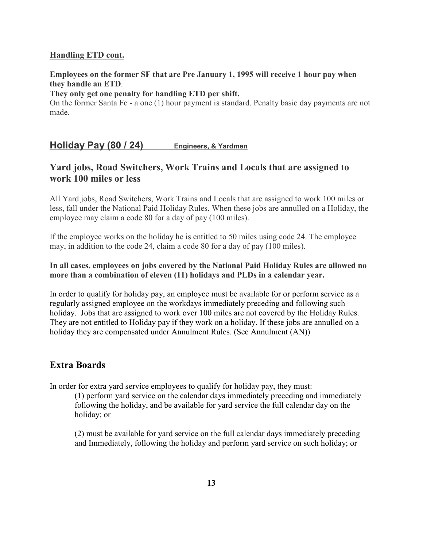#### **Handling ETD cont.**

#### **Employees on the former SF that are Pre January 1, 1995 will receive 1 hour pay when they handle an ETD**.

#### **They only get one penalty for handling ETD per shift.**

On the former Santa Fe - a one (1) hour payment is standard. Penalty basic day payments are not made.

## **Holiday Pay (80 / 24) Engineers, & Yardmen**

## **Yard jobs, Road Switchers, Work Trains and Locals that are assigned to work 100 miles or less**

All Yard jobs, Road Switchers, Work Trains and Locals that are assigned to work 100 miles or less, fall under the National Paid Holiday Rules. When these jobs are annulled on a Holiday, the employee may claim a code 80 for a day of pay (100 miles).

If the employee works on the holiday he is entitled to 50 miles using code 24. The employee may, in addition to the code 24, claim a code 80 for a day of pay (100 miles).

#### In all cases, employees on jobs covered by the National Paid Holiday Rules are allowed no **more than a combination of eleven (11) holidays and PLDs in a calendar year.**

In order to qualify for holiday pay, an employee must be available for or perform service as a regularly assigned employee on the workdays immediately preceding and following such holiday. Jobs that are assigned to work over 100 miles are not covered by the Holiday Rules. They are not entitled to Holiday pay if they work on a holiday. If these jobs are annulled on a holiday they are compensated under Annulment Rules. (See Annulment (AN))

## **Extra Boards**

In order for extra yard service employees to qualify for holiday pay, they must:

(1) perform yard service on the calendar days immediately preceding and immediately following the holiday, and be available for yard service the full calendar day on the holiday; or

(2) must be available for yard service on the full calendar days immediately preceding and Immediately, following the holiday and perform yard service on such holiday; or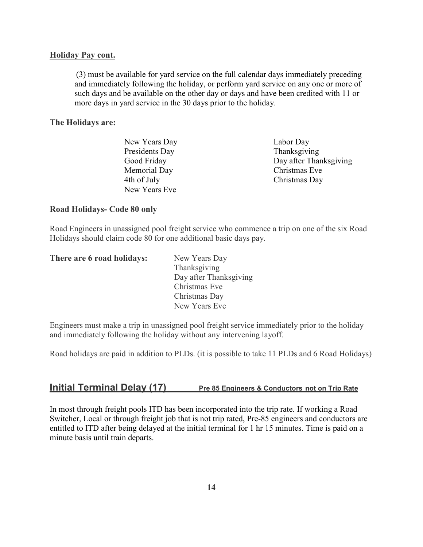#### **Holiday Pay cont.**

(3) must be available for yard service on the full calendar days immediately preceding and immediately following the holiday, or perform yard service on any one or more of such days and be available on the other day or days and have been credited with 11 or more days in yard service in the 30 days prior to the holiday.

#### **The Holidays are:**

| Labor Day              |
|------------------------|
| Thanksgiving           |
| Day after Thanksgiving |
| Christmas Eve          |
| Christmas Day          |
|                        |
|                        |

#### **Road Holidays- Code 80 only**

Road Engineers in unassigned pool freight service who commence a trip on one of the six Road Holidays should claim code 80 for one additional basic days pay.

| There are 6 road holidays: | New Years Day          |
|----------------------------|------------------------|
|                            | Thanksgiving           |
|                            | Day after Thanksgiving |
|                            | Christmas Eve          |
|                            | Christmas Day          |
|                            | New Years Eve          |

Engineers must make a trip in unassigned pool freight service immediately prior to the holiday and immediately following the holiday without any intervening layoff.

Road holidays are paid in addition to PLDs. (it is possible to take 11 PLDs and 6 Road Holidays)

## **Initial Terminal Delay (17)** Pre 85 Engineers & Conductors not on Trip Rate

In most through freight pools ITD has been incorporated into the trip rate. If working a Road Switcher, Local or through freight job that is not trip rated, Pre-85 engineers and conductors are entitled to ITD after being delayed at the initial terminal for 1 hr 15 minutes. Time is paid on a minute basis until train departs.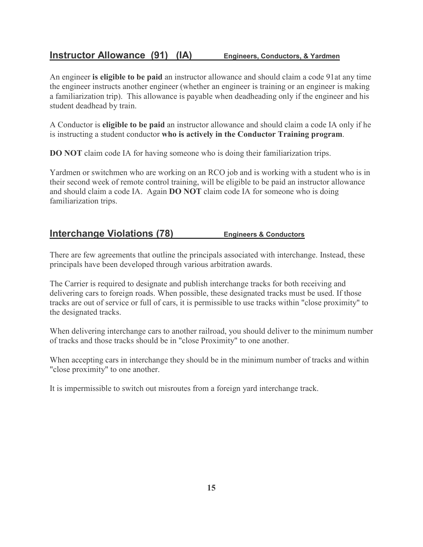# **Instructor Allowance (91) (IA) Engineers, Conductors, & Yardmen**

An engineer **is eligible to be paid** an instructor allowance and should claim a code 91at any time the engineer instructs another engineer (whether an engineer is training or an engineer is making a familiarization trip). This allowance is payable when deadheading only if the engineer and his student deadhead by train.

A Conductor is **eligible to be paid** an instructor allowance and should claim a code IA only if he is instructing a student conductor **who is actively in the Conductor Training program**.

**DO NOT** claim code IA for having someone who is doing their familiarization trips.

Yardmen or switchmen who are working on an RCO job and is working with a student who is in their second week of remote control training, will be eligible to be paid an instructor allowance and should claim a code IA. Again **DO OT** claim code IA for someone who is doing familiarization trips.

## **Interchange Violations (78) Engineers & Conductors**

There are few agreements that outline the principals associated with interchange. Instead, these principals have been developed through various arbitration awards.

The Carrier is required to designate and publish interchange tracks for both receiving and delivering cars to foreign roads. When possible, these designated tracks must be used. If those tracks are out of service or full of cars, it is permissible to use tracks within "close proximity" to the designated tracks.

When delivering interchange cars to another railroad, you should deliver to the minimum number of tracks and those tracks should be in "close Proximity" to one another.

When accepting cars in interchange they should be in the minimum number of tracks and within "close proximity" to one another.

It is impermissible to switch out misroutes from a foreign yard interchange track.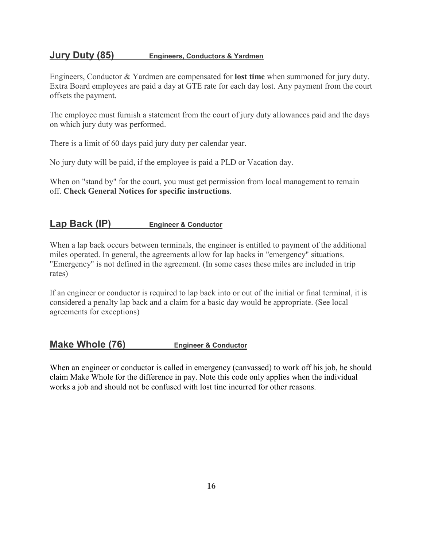## **Jury Duty (85) Engineers, Conductors & Yardmen**

Engineers, Conductor & Yardmen are compensated for **lost time** when summoned for jury duty. Extra Board employees are paid a day at GTE rate for each day lost. Any payment from the court offsets the payment.

The employee must furnish a statement from the court of jury duty allowances paid and the days on which jury duty was performed.

There is a limit of 60 days paid jury duty per calendar year.

No jury duty will be paid, if the employee is paid a PLD or Vacation day.

When on "stand by" for the court, you must get permission from local management to remain off. **Check General otices for specific instructions**.

# **Lap Back (IP) Engineer & Conductor**

When a lap back occurs between terminals, the engineer is entitled to payment of the additional miles operated. In general, the agreements allow for lap backs in "emergency" situations. "Emergency" is not defined in the agreement. (In some cases these miles are included in trip rates)

If an engineer or conductor is required to lap back into or out of the initial or final terminal, it is considered a penalty lap back and a claim for a basic day would be appropriate. (See local agreements for exceptions)

# **Make Whole (76) Engineer & Conductor**

When an engineer or conductor is called in emergency (canvassed) to work off his job, he should claim Make Whole for the difference in pay. Note this code only applies when the individual works a job and should not be confused with lost tine incurred for other reasons.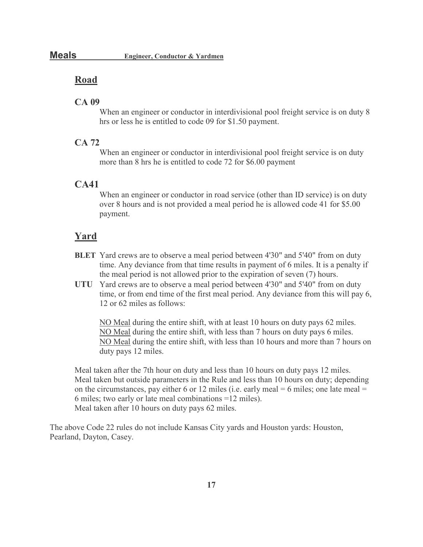## **Road**

#### **CA 09**

When an engineer or conductor in interdivisional pool freight service is on duty 8 hrs or less he is entitled to code 09 for \$1.50 payment.

#### **CA 72**

When an engineer or conductor in interdivisional pool freight service is on duty more than 8 hrs he is entitled to code 72 for \$6.00 payment

#### **CA41**

When an engineer or conductor in road service (other than ID service) is on duty over 8 hours and is not provided a meal period he is allowed code 41 for \$5.00 payment.

#### **Yard**

- **BLET** Yard crews are to observe a meal period between 4'30" and 5'40" from on duty time. Any deviance from that time results in payment of 6 miles. It is a penalty if the meal period is not allowed prior to the expiration of seven (7) hours.
- **UTU** Yard crews are to observe a meal period between 4'30" and 5'40" from on duty time, or from end time of the first meal period. Any deviance from this will pay 6, 12 or 62 miles as follows:

NO Meal during the entire shift, with at least 10 hours on duty pays 62 miles. NO Meal during the entire shift, with less than 7 hours on duty pays 6 miles. NO Meal during the entire shift, with less than 10 hours and more than 7 hours on duty pays 12 miles.

Meal taken after the 7th hour on duty and less than 10 hours on duty pays 12 miles. Meal taken but outside parameters in the Rule and less than 10 hours on duty; depending on the circumstances, pay either 6 or 12 miles (i.e. early meal  $= 6$  miles; one late meal  $=$ 6 miles; two early or late meal combinations =12 miles). Meal taken after 10 hours on duty pays 62 miles.

The above Code 22 rules do not include Kansas City yards and Houston yards: Houston, Pearland, Dayton, Casey.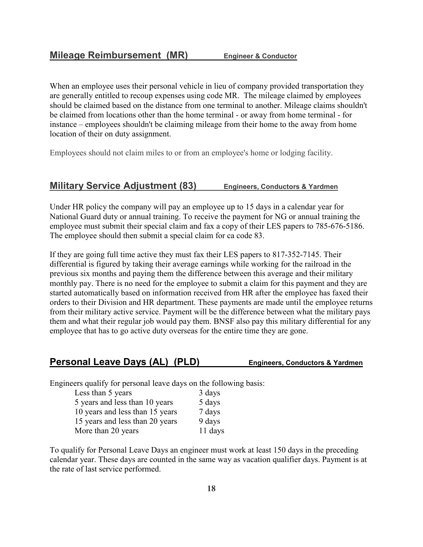When an employee uses their personal vehicle in lieu of company provided transportation they are generally entitled to recoup expenses using code MR. The mileage claimed by employees should be claimed based on the distance from one terminal to another. Mileage claims shouldn't be claimed from locations other than the home terminal - or away from home terminal - for instance – employees shouldn't be claiming mileage from their home to the away from home location of their on duty assignment.

Employees should not claim miles to or from an employee's home or lodging facility.

#### **Military Service Adjustment (83) Engineers, Conductors & Yardmen**

Under HR policy the company will pay an employee up to 15 days in a calendar year for National Guard duty or annual training. To receive the payment for NG or annual training the employee must submit their special claim and fax a copy of their LES papers to 785-676-5186. The employee should then submit a special claim for ca code 83.

If they are going full time active they must fax their LES papers to 817-352-7145. Their differential is figured by taking their average earnings while working for the railroad in the previous six months and paying them the difference between this average and their military monthly pay. There is no need for the employee to submit a claim for this payment and they are started automatically based on information received from HR after the employee has faxed their orders to their Division and HR department. These payments are made until the employee returns from their military active service. Payment will be the difference between what the military pays them and what their regular job would pay them. BNSF also pay this military differential for any employee that has to go active duty overseas for the entire time they are gone.

## **Personal Leave Days (AL) (PLD) Engineers, Conductors & Yardmen**

Engineers qualify for personal leave days on the following basis:

| Less than 5 years               | 3 days  |
|---------------------------------|---------|
| 5 years and less than 10 years  | 5 days  |
| 10 years and less than 15 years | 7 days  |
| 15 years and less than 20 years | 9 days  |
| More than 20 years              | 11 days |

To qualify for Personal Leave Days an engineer must work at least 150 days in the preceding calendar year. These days are counted in the same way as vacation qualifier days. Payment is at the rate of last service performed.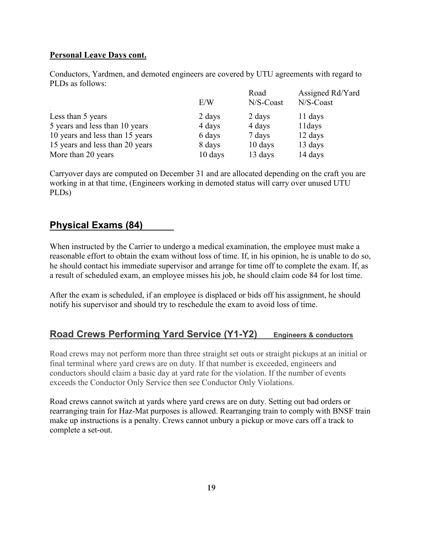#### **Personal Leave Days cont.**

Conductors, Yardmen, and demoted engineers are covered by UTU agreements with regard to PLDs as follows:

|                                 | E/W     | Road<br>N/S-Coast | Assigned Rd/Yard<br>$N/S$ -Coast |
|---------------------------------|---------|-------------------|----------------------------------|
| Less than 5 years               | 2 days  | 2 days            | 11 days                          |
| 5 years and less than 10 years  | 4 days  | 4 days            | 11 days                          |
| 10 years and less than 15 years | 6 days  | 7 days            | 12 days                          |
| 15 years and less than 20 years | 8 days  | 10 days           | 13 days                          |
| More than 20 years              | 10 days | 13 days           | 14 days                          |

Carryover days are computed on December 31 and are allocated depending on the craft you are working in at that time, (Engineers working in demoted status will carry over unused UTU PLDs)

# **Physical Exams (84)**

When instructed by the Carrier to undergo a medical examination, the employee must make a reasonable effort to obtain the exam without loss of time. If, in his opinion, he is unable to do so, he should contact his immediate supervisor and arrange for time off to complete the exam. If, as a result of scheduled exam, an employee misses his job, he should claim code 84 for lost time.

After the exam is scheduled, if an employee is displaced or bids off his assignment, he should notify his supervisor and should try to reschedule the exam to avoid loss of time.

# **Road Crews Performing Yard Service (Y1-Y2) Engineers & conductors**

Road crews may not perform more than three straight set outs or straight pickups at an initial or final terminal where yard crews are on duty. If that number is exceeded, engineers and conductors should claim a basic day at yard rate for the violation. If the number of events exceeds the Conductor Only Service then see Conductor Only Violations.

Road crews cannot switch at yards where yard crews are on duty. Setting out bad orders or rearranging train for Haz-Mat purposes is allowed. Rearranging train to comply with BNSF train make up instructions is a penalty. Crews cannot unbury a pickup or move cars off a track to complete a set-out.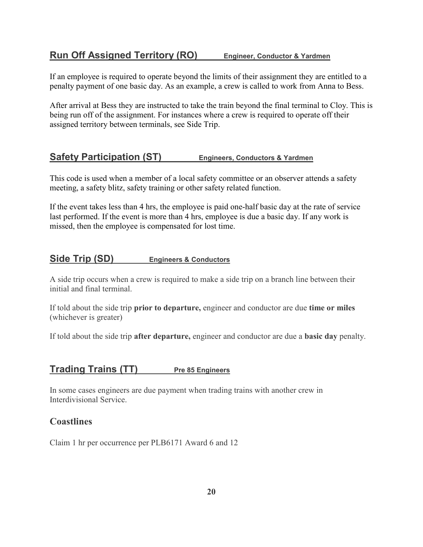# **Run Off Assigned Territory (RO) Engineer, Conductor & Yardmen**

If an employee is required to operate beyond the limits of their assignment they are entitled to a penalty payment of one basic day. As an example, a crew is called to work from Anna to Bess.

After arrival at Bess they are instructed to take the train beyond the final terminal to Cloy. This is being run off of the assignment. For instances where a crew is required to operate off their assigned territory between terminals, see Side Trip.

## **Safety Participation (ST) Engineers, Conductors & Yardmen**

This code is used when a member of a local safety committee or an observer attends a safety meeting, a safety blitz, safety training or other safety related function.

If the event takes less than 4 hrs, the employee is paid one-half basic day at the rate of service last performed. If the event is more than 4 hrs, employee is due a basic day. If any work is missed, then the employee is compensated for lost time.

## **Side Trip (SD) Engineers & Conductors**

A side trip occurs when a crew is required to make a side trip on a branch line between their initial and final terminal.

If told about the side trip **prior to departure,** engineer and conductor are due **time or miles**  (whichever is greater)

If told about the side trip **after departure,** engineer and conductor are due a **basic day** penalty.

## **Trading Trains (TT) Pre 85 Engineers**

In some cases engineers are due payment when trading trains with another crew in Interdivisional Service.

## **Coastlines**

Claim 1 hr per occurrence per PLB6171 Award 6 and 12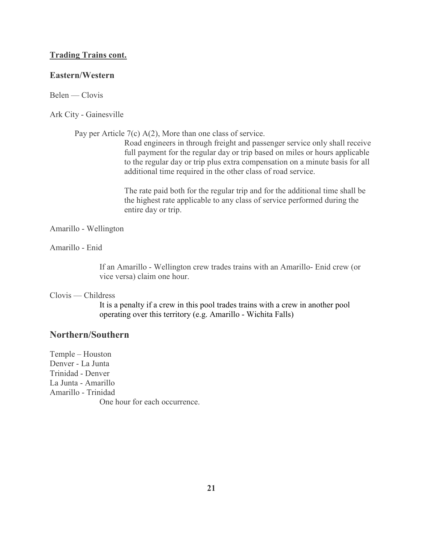#### **Trading Trains cont.**

#### **Eastern/Western**

Belen — Clovis

#### Ark City - Gainesville

Pay per Article 7(c) A(2), More than one class of service.

Road engineers in through freight and passenger service only shall receive full payment for the regular day or trip based on miles or hours applicable to the regular day or trip plus extra compensation on a minute basis for all additional time required in the other class of road service.

The rate paid both for the regular trip and for the additional time shall be the highest rate applicable to any class of service performed during the entire day or trip.

#### Amarillo - Wellington

Amarillo - Enid

If an Amarillo - Wellington crew trades trains with an Amarillo- Enid crew (or vice versa) claim one hour.

#### Clovis — Childress

It is a penalty if a crew in this pool trades trains with a crew in another pool operating over this territory (e.g. Amarillo - Wichita Falls)

## **orthern/Southern**

Temple – Houston Denver - La Junta Trinidad - Denver La Junta - Amarillo Amarillo - Trinidad One hour for each occurrence.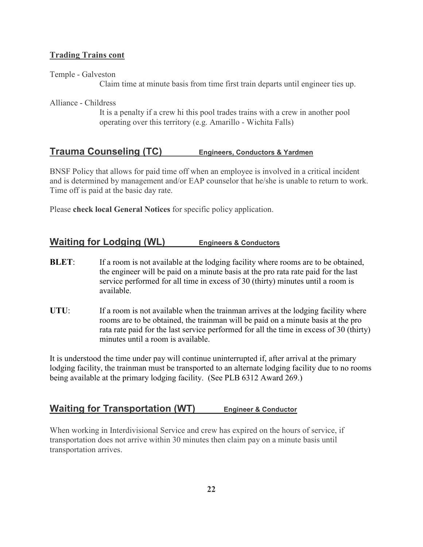#### **Trading Trains cont**

Temple - Galveston

Claim time at minute basis from time first train departs until engineer ties up.

Alliance - Childress

It is a penalty if a crew hi this pool trades trains with a crew in another pool operating over this territory (e.g. Amarillo - Wichita Falls)

## **Trauma Counseling (TC) Engineers, Conductors & Yardmen**

BNSF Policy that allows for paid time off when an employee is involved in a critical incident and is determined by management and/or EAP counselor that he/she is unable to return to work. Time off is paid at the basic day rate.

Please **check local General Notices** for specific policy application.

## **Waiting for Lodging (WL) Engineers & Conductors**

- **BLET:** If a room is not available at the lodging facility where rooms are to be obtained, the engineer will be paid on a minute basis at the pro rata rate paid for the last service performed for all time in excess of 30 (thirty) minutes until a room is available.
- UTU: If a room is not available when the trainman arrives at the lodging facility where rooms are to be obtained, the trainman will be paid on a minute basis at the pro rata rate paid for the last service performed for all the time in excess of 30 (thirty) minutes until a room is available.

It is understood the time under pay will continue uninterrupted if, after arrival at the primary lodging facility, the trainman must be transported to an alternate lodging facility due to no rooms being available at the primary lodging facility. (See PLB 6312 Award 269.)

## **Waiting for Transportation (WT) Engineer & Conductor**

When working in Interdivisional Service and crew has expired on the hours of service, if transportation does not arrive within 30 minutes then claim pay on a minute basis until transportation arrives.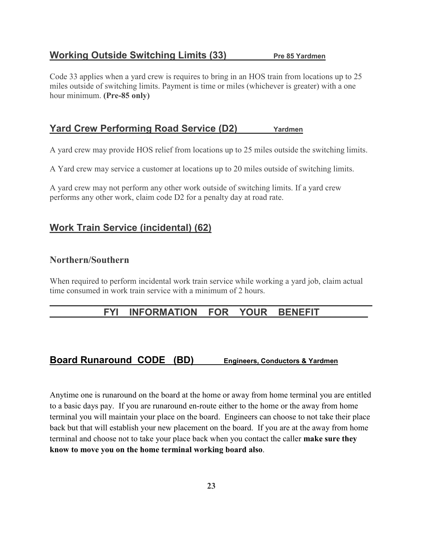# **Working Outside Switching Limits (33)** Pre 85 Yardmen

Code 33 applies when a yard crew is requires to bring in an HOS train from locations up to 25 miles outside of switching limits. Payment is time or miles (whichever is greater) with a one hour minimum. **(Pre-85 only)**

# **Yard Crew Performing Road Service (D2)** Yardmen

A yard crew may provide HOS relief from locations up to 25 miles outside the switching limits.

A Yard crew may service a customer at locations up to 20 miles outside of switching limits.

A yard crew may not perform any other work outside of switching limits. If a yard crew performs any other work, claim code D2 for a penalty day at road rate.

# **Work Train Service (incidental) (62)**

# **orthern/Southern**

When required to perform incidental work train service while working a yard job, claim actual time consumed in work train service with a minimum of 2 hours.

## **\_\_\_\_\_\_\_\_\_\_\_\_\_\_\_\_\_\_\_\_\_\_\_\_\_\_\_\_\_\_\_\_\_\_\_\_\_\_\_\_\_\_\_\_\_\_\_\_\_\_\_\_\_\_\_\_\_\_\_\_** FYI INFORMATION FOR YOUR BENEFIT

# **Board Runaround CODE (BD) Engineers, Conductors & Yardmen**

Anytime one is runaround on the board at the home or away from home terminal you are entitled to a basic days pay. If you are runaround en-route either to the home or the away from home terminal you will maintain your place on the board. Engineers can choose to not take their place back but that will establish your new placement on the board. If you are at the away from home terminal and choose not to take your place back when you contact the caller **make sure they know to move you on the home terminal working board also**.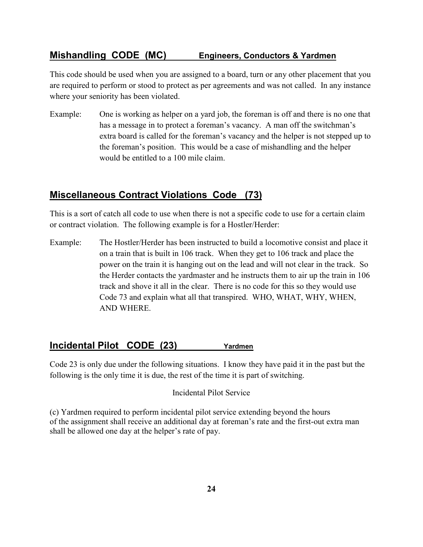# **Mishandling CODE (MC) Engineers, Conductors & Yardmen**

This code should be used when you are assigned to a board, turn or any other placement that you are required to perform or stood to protect as per agreements and was not called. In any instance where your seniority has been violated.

Example: One is working as helper on a yard job, the foreman is off and there is no one that has a message in to protect a foreman's vacancy. A man off the switchman's extra board is called for the foreman's vacancy and the helper is not stepped up to the foreman's position. This would be a case of mishandling and the helper would be entitled to a 100 mile claim.

# **Miscellaneous Contract Violations Code (73)**

This is a sort of catch all code to use when there is not a specific code to use for a certain claim or contract violation. The following example is for a Hostler/Herder:

Example: The Hostler/Herder has been instructed to build a locomotive consist and place it on a train that is built in 106 track. When they get to 106 track and place the power on the train it is hanging out on the lead and will not clear in the track. So the Herder contacts the yardmaster and he instructs them to air up the train in 106 track and shove it all in the clear. There is no code for this so they would use Code 73 and explain what all that transpired. WHO, WHAT, WHY, WHEN, AND WHERE.

## **Incidental Pilot CODE (23) Yardmen**

Code 23 is only due under the following situations. I know they have paid it in the past but the following is the only time it is due, the rest of the time it is part of switching.

Incidental Pilot Service

(c) Yardmen required to perform incidental pilot service extending beyond the hours of the assignment shall receive an additional day at foreman's rate and the first-out extra man shall be allowed one day at the helper's rate of pay.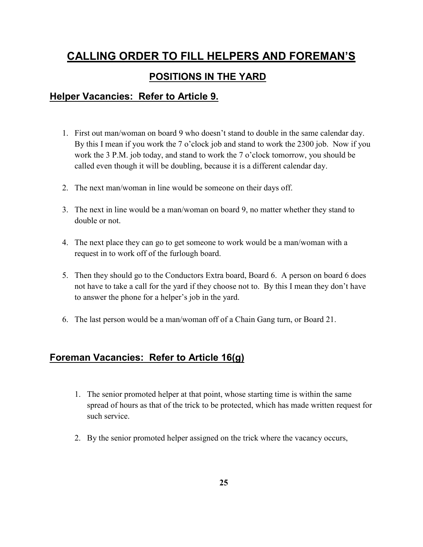# **CALLING ORDER TO FILL HELPERS AND FOREMAN'S POSITIONS IN THE YARD**

# **Helper Vacancies: Refer to Article 9.**

- 1. First out man/woman on board 9 who doesn't stand to double in the same calendar day. By this I mean if you work the 7 o'clock job and stand to work the 2300 job. Now if you work the 3 P.M. job today, and stand to work the 7 o'clock tomorrow, you should be called even though it will be doubling, because it is a different calendar day.
- 2. The next man/woman in line would be someone on their days off.
- 3. The next in line would be a man/woman on board 9, no matter whether they stand to double or not.
- 4. The next place they can go to get someone to work would be a man/woman with a request in to work off of the furlough board.
- 5. Then they should go to the Conductors Extra board, Board 6. A person on board 6 does not have to take a call for the yard if they choose not to. By this I mean they don't have to answer the phone for a helper's job in the yard.
- 6. The last person would be a man/woman off of a Chain Gang turn, or Board 21.

# **Foreman Vacancies: Refer to Article 16(g)**

- 1. The senior promoted helper at that point, whose starting time is within the same spread of hours as that of the trick to be protected, which has made written request for such service.
- 2. By the senior promoted helper assigned on the trick where the vacancy occurs,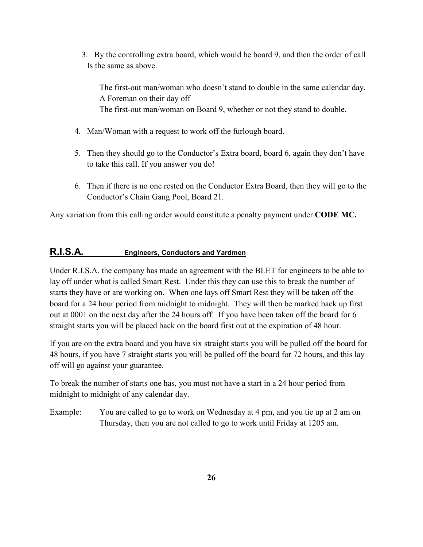3. By the controlling extra board, which would be board 9, and then the order of call Is the same as above.

The first-out man/woman who doesn't stand to double in the same calendar day. A Foreman on their day off The first-out man/woman on Board 9, whether or not they stand to double.

- 4. Man/Woman with a request to work off the furlough board.
- 5. Then they should go to the Conductor's Extra board, board 6, again they don't have to take this call. If you answer you do!
- 6. Then if there is no one rested on the Conductor Extra Board, then they will go to the Conductor's Chain Gang Pool, Board 21.

Any variation from this calling order would constitute a penalty payment under **CODE MC.** 

## **R.I.S.A. Engineers, Conductors and Yardmen**

Under R.I.S.A. the company has made an agreement with the BLET for engineers to be able to lay off under what is called Smart Rest. Under this they can use this to break the number of starts they have or are working on. When one lays off Smart Rest they will be taken off the board for a 24 hour period from midnight to midnight. They will then be marked back up first out at 0001 on the next day after the 24 hours off. If you have been taken off the board for 6 straight starts you will be placed back on the board first out at the expiration of 48 hour.

If you are on the extra board and you have six straight starts you will be pulled off the board for 48 hours, if you have 7 straight starts you will be pulled off the board for 72 hours, and this lay off will go against your guarantee.

To break the number of starts one has, you must not have a start in a 24 hour period from midnight to midnight of any calendar day.

Example: You are called to go to work on Wednesday at 4 pm, and you tie up at 2 am on Thursday, then you are not called to go to work until Friday at 1205 am.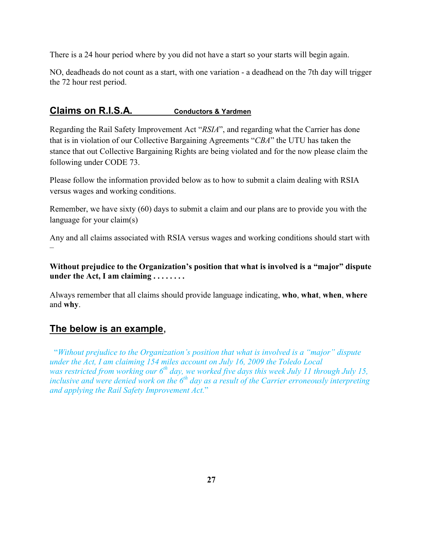There is a 24 hour period where by you did not have a start so your starts will begin again.

NO, deadheads do not count as a start, with one variation - a deadhead on the 7th day will trigger the 72 hour rest period.

## **Claims on R.I.S.A. Conductors & Yardmen**

Regarding the Rail Safety Improvement Act "*RSIA*", and regarding what the Carrier has done that is in violation of our Collective Bargaining Agreements "*CBA*" the UTU has taken the stance that out Collective Bargaining Rights are being violated and for the now please claim the following under CODE 73.

Please follow the information provided below as to how to submit a claim dealing with RSIA versus wages and working conditions.

Remember, we have sixty (60) days to submit a claim and our plans are to provide you with the language for your claim(s)

Any and all claims associated with RSIA versus wages and working conditions should start with –

**Without prejudice to the Organization's position that what is involved is a "major" dispute under the Act, I am claiming . . . . . . . .** 

Always remember that all claims should provide language indicating, **who**, **what**, **when**, **where** and **why**.

# **The below is an example**,

 "*Without prejudice to the Organization's position that what is involved is a "major" dispute under the Act, I am claiming 154 miles account on July 16, 2009 the Toledo Local was restricted from working our 6th day, we worked five days this week July 11 through July 15, inclusive and were denied work on the 6<sup>th</sup> day as a result of the Carrier erroneously interpreting and applying the Rail Safety Improvement Act.*"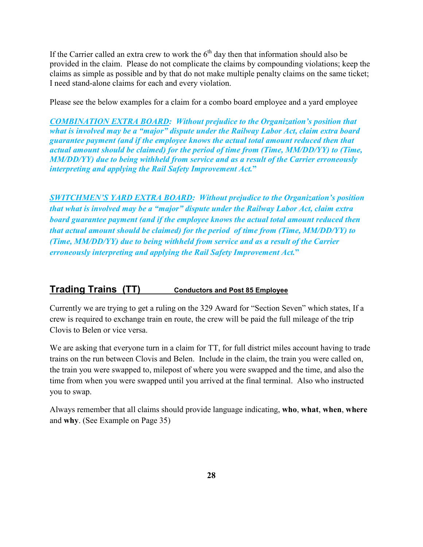If the Carrier called an extra crew to work the  $6<sup>th</sup>$  day then that information should also be provided in the claim. Please do not complicate the claims by compounding violations; keep the claims as simple as possible and by that do not make multiple penalty claims on the same ticket; I need stand-alone claims for each and every violation.

Please see the below examples for a claim for a combo board employee and a yard employee

**COMBINATION EXTRA BOARD:** Without prejudice to the Organization's position that *what is involved may be a "major" dispute under the Railway Labor Act, claim extra board guarantee payment (and if the employee knows the actual total amount reduced then that actual amount should be claimed) for the period of time from (Time, MM/DD/YY) to (Time, MM/DD/YY) due to being withheld from service and as a result of the Carrier erroneously interpreting and applying the Rail Safety Improvement Act.***"** 

*SWITCHME'S YARD EXTRA BOARD: Without prejudice to the Organization's position that what is involved may be a "major" dispute under the Railway Labor Act, claim extra board guarantee payment (and if the employee knows the actual total amount reduced then that actual amount should be claimed) for the period of time from (Time, MM/DD/YY) to (Time, MM/DD/YY) due to being withheld from service and as a result of the Carrier erroneously interpreting and applying the Rail Safety Improvement Act.***"**

# **Trading Trains (TT) Conductors and Post 85 Employee**

Currently we are trying to get a ruling on the 329 Award for "Section Seven" which states, If a crew is required to exchange train en route, the crew will be paid the full mileage of the trip Clovis to Belen or vice versa.

We are asking that everyone turn in a claim for TT, for full district miles account having to trade trains on the run between Clovis and Belen. Include in the claim, the train you were called on, the train you were swapped to, milepost of where you were swapped and the time, and also the time from when you were swapped until you arrived at the final terminal. Also who instructed you to swap.

Always remember that all claims should provide language indicating, **who**, **what**, **when**, **where** and **why**. (See Example on Page 35)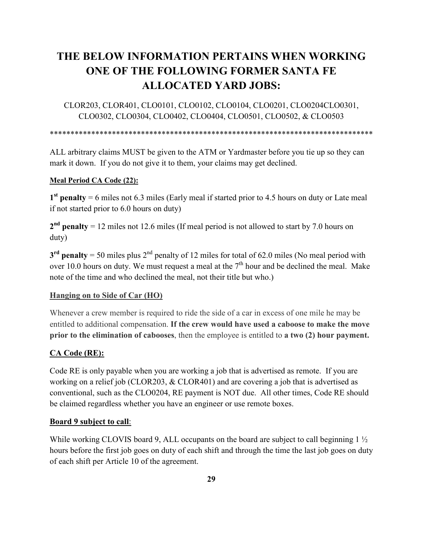# **THE BELOW I FORMATIO PERTAI S WHE WORKI G O E OF THE FOLLOWI G FORMER SA TA FE ALLOCATED YARD JOBS:**

CLOR203, CLOR401, CLO0101, CLO0102, CLO0104, CLO0201, CLO0204CLO0301, CLO0302, CLO0304, CLO0402, CLO0404, CLO0501, CLO0502, & CLO0503

\*\*\*\*\*\*\*\*\*\*\*\*\*\*\*\*\*\*\*\*\*\*\*\*\*\*\*\*\*\*\*\*\*\*\*\*\*\*\*\*\*\*\*\*\*\*\*\*\*\*\*\*\*\*\*\*\*\*\*\*\*\*\*\*\*\*\*\*\*\*\*\*\*\*\*\*\*\*

ALL arbitrary claims MUST be given to the ATM or Yardmaster before you tie up so they can mark it down. If you do not give it to them, your claims may get declined.

#### **Meal Period CA Code (22):**

**1 st penalty** = 6 miles not 6.3 miles (Early meal if started prior to 4.5 hours on duty or Late meal if not started prior to 6.0 hours on duty)

2<sup>nd</sup> penalty = 12 miles not 12.6 miles (If meal period is not allowed to start by 7.0 hours on duty)

 $3<sup>rd</sup>$  penalty = 50 miles plus  $2<sup>nd</sup>$  penalty of 12 miles for total of 62.0 miles (No meal period with over 10.0 hours on duty. We must request a meal at the  $7<sup>th</sup>$  hour and be declined the meal. Make note of the time and who declined the meal, not their title but who.)

#### **Hanging on to Side of Car (HO)**

Whenever a crew member is required to ride the side of a car in excess of one mile he may be entitled to additional compensation. **If the crew would have used a caboose to make the move prior to the elimination of cabooses**, then the employee is entitled to **a two (2) hour payment.**

#### **CA Code (RE):**

Code RE is only payable when you are working a job that is advertised as remote. If you are working on a relief job (CLOR203, & CLOR401) and are covering a job that is advertised as conventional, such as the CLO0204, RE payment is NOT due. All other times, Code RE should be claimed regardless whether you have an engineer or use remote boxes.

#### **Board 9 subject to call**:

While working CLOVIS board 9, ALL occupants on the board are subject to call beginning 1  $\frac{1}{2}$ hours before the first job goes on duty of each shift and through the time the last job goes on duty of each shift per Article 10 of the agreement.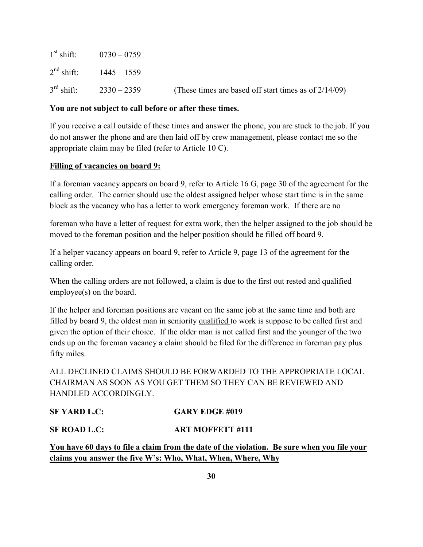| $1st shift$ : $0730 - 0759$ |                                                          |
|-----------------------------|----------------------------------------------------------|
| $2nd shift:$ 1445 – 1559    |                                                          |
| $3rd$ shift: $2330 - 2359$  | (These times are based off start times as of $2/14/09$ ) |

#### **You are not subject to call before or after these times.**

If you receive a call outside of these times and answer the phone, you are stuck to the job. If you do not answer the phone and are then laid off by crew management, please contact me so the appropriate claim may be filed (refer to Article 10 C).

#### **Filling of vacancies on board 9:**

If a foreman vacancy appears on board 9, refer to Article 16 G, page 30 of the agreement for the calling order. The carrier should use the oldest assigned helper whose start time is in the same block as the vacancy who has a letter to work emergency foreman work. If there are no

foreman who have a letter of request for extra work, then the helper assigned to the job should be moved to the foreman position and the helper position should be filled off board 9.

If a helper vacancy appears on board 9, refer to Article 9, page 13 of the agreement for the calling order.

When the calling orders are not followed, a claim is due to the first out rested and qualified employee(s) on the board.

If the helper and foreman positions are vacant on the same job at the same time and both are filled by board 9, the oldest man in seniority qualified to work is suppose to be called first and given the option of their choice. If the older man is not called first and the younger of the two ends up on the foreman vacancy a claim should be filed for the difference in foreman pay plus fifty miles.

ALL DECLINED CLAIMS SHOULD BE FORWARDED TO THE APPROPRIATE LOCAL CHAIRMAN AS SOON AS YOU GET THEM SO THEY CAN BE REVIEWED AND HANDLED ACCORDINGLY.

## **SF YARD L.C: GARY EDGE #019**

## **SF ROAD L.C: ART MOFFETT #111**

**You have 60 days to file a claim from the date of the violation. Be sure when you file your claims you answer the five W's: Who, What, When, Where, Why**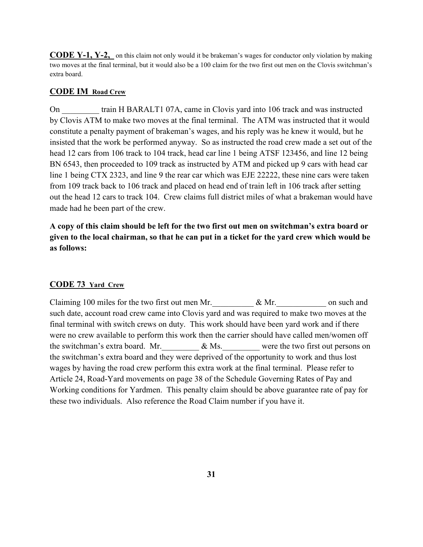**CODE Y-1, Y-2,** on this claim not only would it be brakeman's wages for conductor only violation by making two moves at the final terminal, but it would also be a 100 claim for the two first out men on the Clovis switchman's extra board.

#### **CODE IM Road Crew**

On train H BARALT1 07A, came in Clovis yard into 106 track and was instructed by Clovis ATM to make two moves at the final terminal. The ATM was instructed that it would constitute a penalty payment of brakeman's wages, and his reply was he knew it would, but he insisted that the work be performed anyway. So as instructed the road crew made a set out of the head 12 cars from 106 track to 104 track, head car line 1 being ATSF 123456, and line 12 being BN 6543, then proceeded to 109 track as instructed by ATM and picked up 9 cars with head car line 1 being CTX 2323, and line 9 the rear car which was EJE 22222, these nine cars were taken from 109 track back to 106 track and placed on head end of train left in 106 track after setting out the head 12 cars to track 104. Crew claims full district miles of what a brakeman would have made had he been part of the crew.

**A copy of this claim should be left for the two first out men on switchman's extra board or given to the local chairman, so that he can put in a ticket for the yard crew which would be as follows:** 

#### **CODE 73 Yard Crew**

Claiming 100 miles for the two first out men Mr. \_\_\_\_\_\_\_\_\_\_ & Mr. \_\_\_\_\_\_\_\_\_\_\_\_ on such and such date, account road crew came into Clovis yard and was required to make two moves at the final terminal with switch crews on duty. This work should have been yard work and if there were no crew available to perform this work then the carrier should have called men/women off the switchman's extra board. Mr.  $\&$  Ms. were the two first out persons on the switchman's extra board and they were deprived of the opportunity to work and thus lost wages by having the road crew perform this extra work at the final terminal. Please refer to Article 24, Road-Yard movements on page 38 of the Schedule Governing Rates of Pay and Working conditions for Yardmen. This penalty claim should be above guarantee rate of pay for these two individuals. Also reference the Road Claim number if you have it.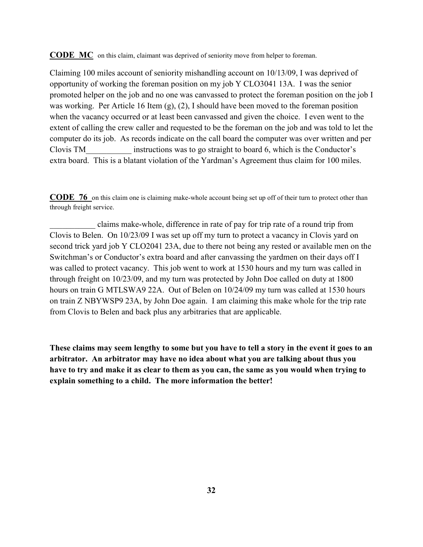**CODE MC** on this claim, claimant was deprived of seniority move from helper to foreman.

Claiming 100 miles account of seniority mishandling account on 10/13/09, I was deprived of opportunity of working the foreman position on my job Y CLO3041 13A. I was the senior promoted helper on the job and no one was canvassed to protect the foreman position on the job I was working. Per Article 16 Item (g), (2), I should have been moved to the foreman position when the vacancy occurred or at least been canvassed and given the choice. I even went to the extent of calling the crew caller and requested to be the foreman on the job and was told to let the computer do its job. As records indicate on the call board the computer was over written and per Clovis TM\_\_\_\_\_\_\_\_\_\_\_ instructions was to go straight to board 6, which is the Conductor's extra board. This is a blatant violation of the Yardman's Agreement thus claim for 100 miles.

**CODE 76** on this claim one is claiming make-whole account being set up off of their turn to protect other than through freight service.

\_\_\_\_\_\_\_\_\_\_\_ claims make-whole, difference in rate of pay for trip rate of a round trip from Clovis to Belen. On 10/23/09 I was set up off my turn to protect a vacancy in Clovis yard on second trick yard job Y CLO2041 23A, due to there not being any rested or available men on the Switchman's or Conductor's extra board and after canvassing the yardmen on their days off I was called to protect vacancy. This job went to work at 1530 hours and my turn was called in through freight on 10/23/09, and my turn was protected by John Doe called on duty at 1800 hours on train G MTLSWA9 22A. Out of Belen on 10/24/09 my turn was called at 1530 hours on train Z NBYWSP9 23A, by John Doe again. I am claiming this make whole for the trip rate from Clovis to Belen and back plus any arbitraries that are applicable.

**These claims may seem lengthy to some but you have to tell a story in the event it goes to an arbitrator. An arbitrator may have no idea about what you are talking about thus you have to try and make it as clear to them as you can, the same as you would when trying to explain something to a child. The more information the better!**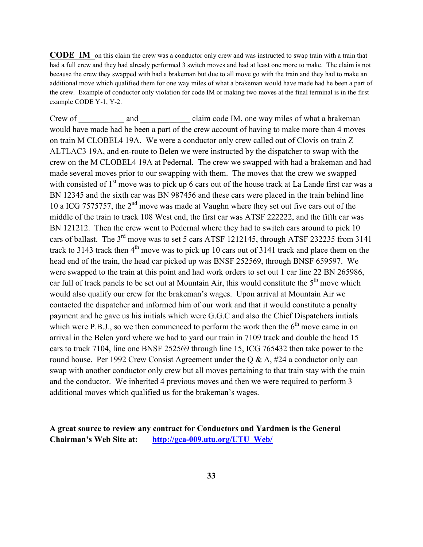**CODE IM** on this claim the crew was a conductor only crew and was instructed to swap train with a train that had a full crew and they had already performed 3 switch moves and had at least one more to make. The claim is not because the crew they swapped with had a brakeman but due to all move go with the train and they had to make an additional move which qualified them for one way miles of what a brakeman would have made had he been a part of the crew. Example of conductor only violation for code IM or making two moves at the final terminal is in the first example CODE Y-1, Y-2.

Crew of \_\_\_\_\_\_\_\_\_\_ and \_\_\_\_\_\_\_\_\_\_\_\_ claim code IM, one way miles of what a brakeman would have made had he been a part of the crew account of having to make more than 4 moves on train M CLOBEL4 19A. We were a conductor only crew called out of Clovis on train Z ALTLAC3 19A, and en-route to Belen we were instructed by the dispatcher to swap with the crew on the M CLOBEL4 19A at Pedernal. The crew we swapped with had a brakeman and had made several moves prior to our swapping with them. The moves that the crew we swapped with consisted of  $1<sup>st</sup>$  move was to pick up 6 cars out of the house track at La Lande first car was a BN 12345 and the sixth car was BN 987456 and these cars were placed in the train behind line 10 a ICG 7575757, the 2<sup>nd</sup> move was made at Vaughn where they set out five cars out of the middle of the train to track 108 West end, the first car was ATSF 222222, and the fifth car was BN 121212. Then the crew went to Pedernal where they had to switch cars around to pick 10 cars of ballast. The 3rd move was to set 5 cars ATSF 1212145, through ATSF 232235 from 3141 track to 3143 track then  $4<sup>th</sup>$  move was to pick up 10 cars out of 3141 track and place them on the head end of the train, the head car picked up was BNSF 252569, through BNSF 659597. We were swapped to the train at this point and had work orders to set out 1 car line 22 BN 265986, car full of track panels to be set out at Mountain Air, this would constitute the  $5<sup>th</sup>$  move which would also qualify our crew for the brakeman's wages. Upon arrival at Mountain Air we contacted the dispatcher and informed him of our work and that it would constitute a penalty payment and he gave us his initials which were G.G.C and also the Chief Dispatchers initials which were P.B.J., so we then commenced to perform the work then the  $6<sup>th</sup>$  move came in on arrival in the Belen yard where we had to yard our train in 7109 track and double the head 15 cars to track 7104, line one BNSF 252569 through line 15, ICG 765432 then take power to the round house. Per 1992 Crew Consist Agreement under the Q & A,  $#24$  a conductor only can swap with another conductor only crew but all moves pertaining to that train stay with the train and the conductor. We inherited 4 previous moves and then we were required to perform 3 additional moves which qualified us for the brakeman's wages.

**A great source to review any contract for Conductors and Yardmen is the General Chairman's Web Site at: http://gca-009.utu.org/UTU\_Web/**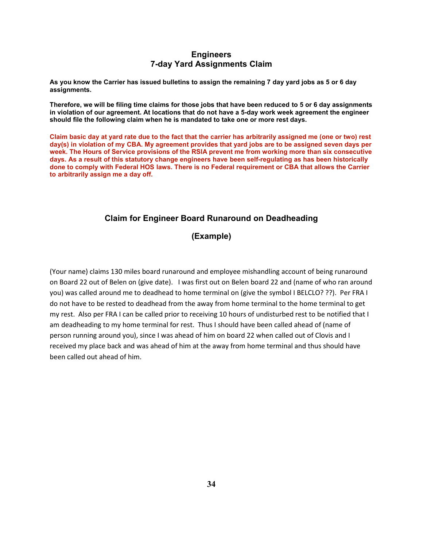#### **Engineers 7-day Yard Assignments Claim**

**As you know the Carrier has issued bulletins to assign the remaining 7 day yard jobs as 5 or 6 day assignments.** 

**Therefore, we will be filing time claims for those jobs that have been reduced to 5 or 6 day assignments in violation of our agreement. At locations that do not have a 5-day work week agreement the engineer should file the following claim when he is mandated to take one or more rest days.**

**Claim basic day at yard rate due to the fact that the carrier has arbitrarily assigned me (one or two) rest day(s) in violation of my CBA. My agreement provides that yard jobs are to be assigned seven days per week. The Hours of Service provisions of the RSIA prevent me from working more than six consecutive days. As a result of this statutory change engineers have been self-regulating as has been historically done to comply with Federal HOS laws. There is no Federal requirement or CBA that allows the Carrier to arbitrarily assign me a day off.**

#### **Claim for Engineer Board Runaround on Deadheading**

**(Example)** 

(Your name) claims 130 miles board runaround and employee mishandling account of being runaround on Board 22 out of Belen on (give date). I was first out on Belen board 22 and (name of who ran around you) was called around me to deadhead to home terminal on (give the symbol I BELCLO? ??). Per FRA I do not have to be rested to deadhead from the away from home terminal to the home terminal to get my rest. Also per FRA I can be called prior to receiving 10 hours of undisturbed rest to be notified that I am deadheading to my home terminal for rest. Thus I should have been called ahead of (name of person running around you), since I was ahead of him on board 22 when called out of Clovis and I received my place back and was ahead of him at the away from home terminal and thus should have been called out ahead of him.